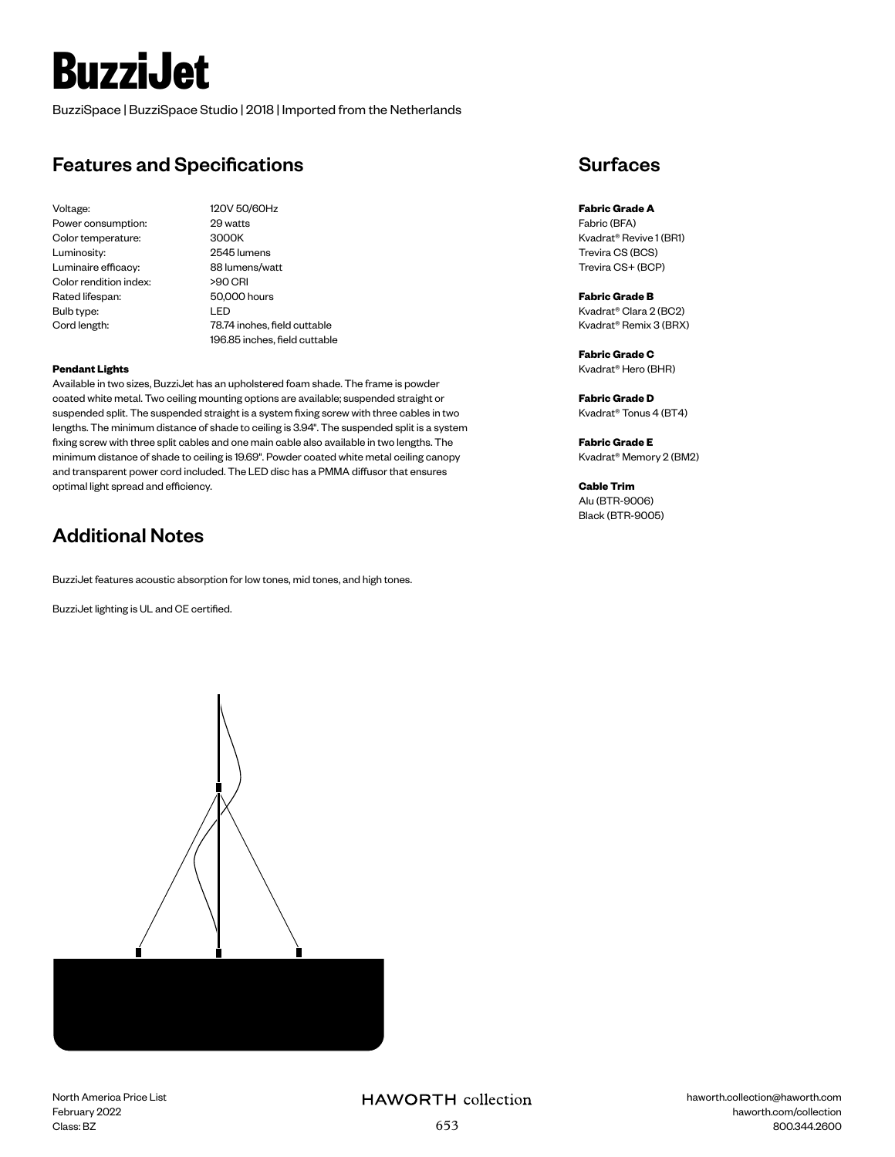# **BuzziJet**

BuzziSpace | BuzziSpace Studio | 2018 | Imported from the Netherlands

# Features and Specifications

Voltage: 120V 50/60Hz Power consumption: 29 watts Color temperature: 3000K Luminosity: 2545 lumens Luminaire efficacy: 88 lumens/watt Color rendition index: >90 CRI Rated lifespan: 50,000 hours Bulb type: LED

Cord length: 78.74 inches, field cuttable 196.85 inches, field cuttable

### **Pendant Lights**

Available in two sizes, BuzziJet has an upholstered foam shade. The frame is powder coated white metal. Two ceiling mounting options are available; suspended straight or suspended split. The suspended straight is a system fixing screw with three cables in two lengths. The minimum distance of shade to ceiling is 3.94". The suspended split is a system fixing screw with three split cables and one main cable also available in two lengths. The minimum distance of shade to ceiling is 19.69". Powder coated white metal ceiling canopy and transparent power cord included. The LED disc has a PMMA diffusor that ensures optimal light spread and efficiency.

# Additional Notes

BuzziJet features acoustic absorption for low tones, mid tones, and high tones.

BuzziJet lighting is UL and CE certified.



**Fabric Grade A** Fabric (BFA) Kvadrat® Revive 1 (BR1) Trevira CS (BCS) Trevira CS+ (BCP)

**Fabric Grade B** Kvadrat® Clara 2 (BC2) Kvadrat® Remix 3 (BRX)

**Fabric Grade C** Kvadrat® Hero (BHR)

**Fabric Grade D** Kvadrat® Tonus 4 (BT4)

**Fabric Grade E** Kvadrat® Memory 2 (BM2)

**Cable Trim** Alu (BTR-9006) Black (BTR-9005)

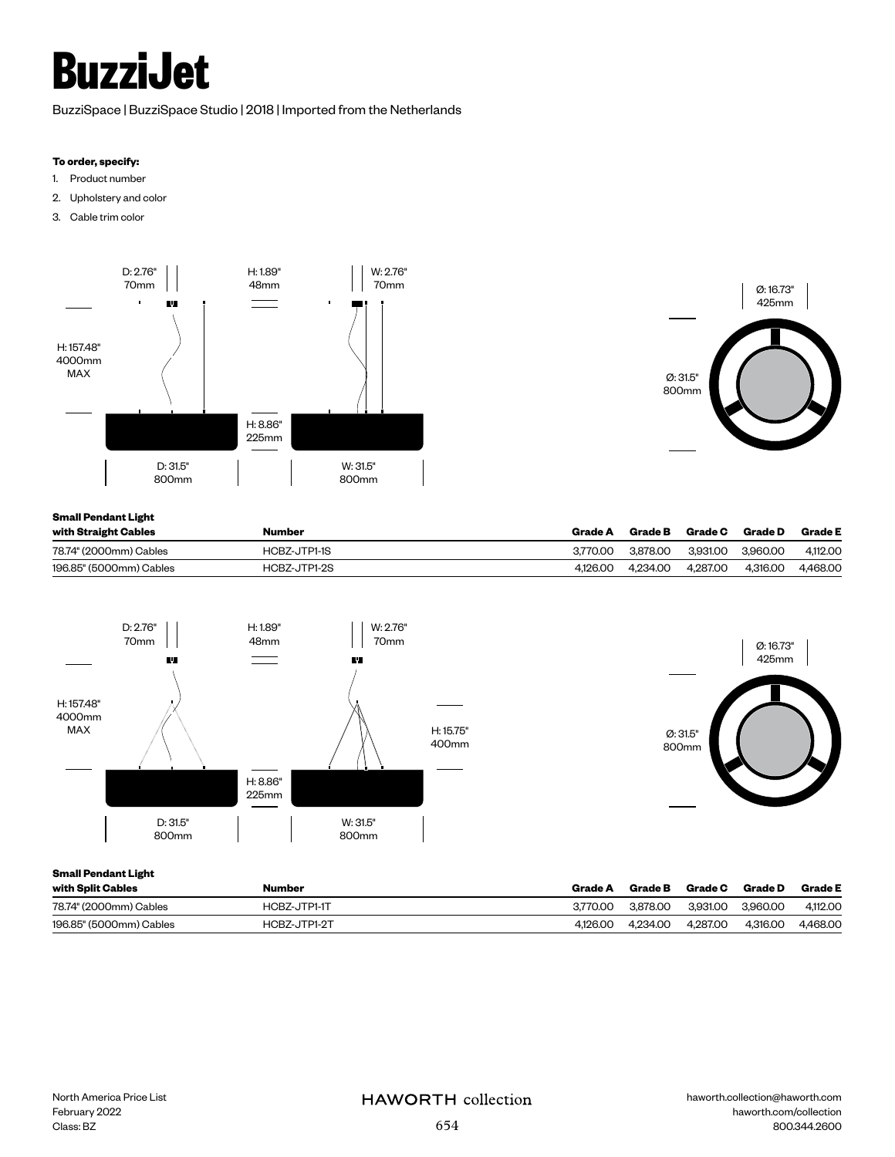# **BuzziJet**

BuzziSpace | BuzziSpace Studio | 2018 | Imported from the Netherlands

### **To order, specify:**

- 1. Product number
- 2. Upholstery and color
- 3. Cable trim color





## **Small Pendant Light**

| with Straight Cables    | Number       | Grade A  | <b>Grade B</b> | Grade C  | Grade D  | <b>Grade E</b> |
|-------------------------|--------------|----------|----------------|----------|----------|----------------|
| 78.74" (2000mm) Cables  | HCBZ-JTP1-1S | 3.770.00 | 3.878.00       | 3.931.00 | 3.960.00 | 4.112.00       |
| 196.85" (5000mm) Cables | HCBZ-JTP1-2S | 4.126.00 | 4.234.00       | 4.287.00 | 4.316.00 | 4.468.00       |



### **Small Pendant Light**

| with Split Cables       | <b>Number</b> | Grade A  | Grade B  | Grade C  | <b>Grade D</b> | <b>Grade E</b> |
|-------------------------|---------------|----------|----------|----------|----------------|----------------|
| 78.74" (2000mm) Cables  | HCBZ-JTP1-1T  | 3.770.00 | 3.878.00 | 3.931.00 | 3.960.00       | 4.112.00       |
| 196.85" (5000mm) Cables | HCBZ-JTP1-2T  | 4.126.00 | 4.234.00 | 4.287.00 | 4.316.00       | 4.468.00       |